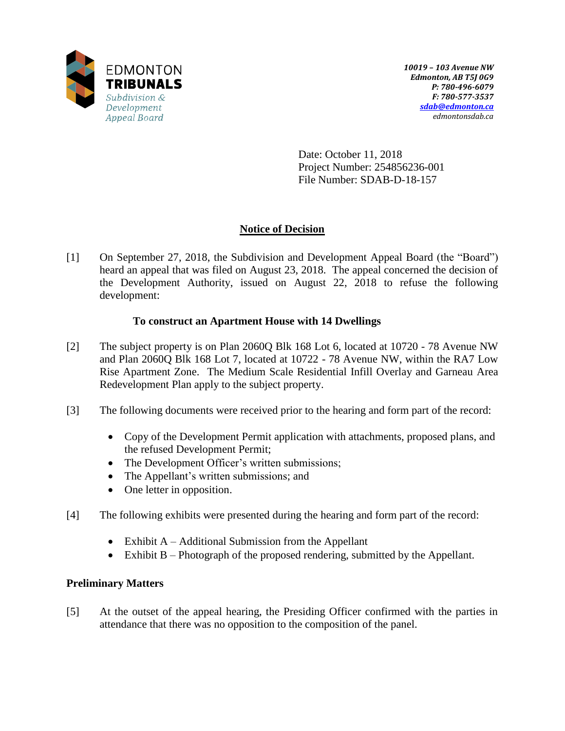

Date: October 11, 2018 Project Number: 254856236-001 File Number: SDAB-D-18-157

# **Notice of Decision**

[1] On September 27, 2018, the Subdivision and Development Appeal Board (the "Board") heard an appeal that was filed on August 23, 2018. The appeal concerned the decision of the Development Authority, issued on August 22, 2018 to refuse the following development:

# **To construct an Apartment House with 14 Dwellings**

- [2] The subject property is on Plan 2060Q Blk 168 Lot 6, located at 10720 78 Avenue NW and Plan 2060Q Blk 168 Lot 7, located at 10722 - 78 Avenue NW, within the RA7 Low Rise Apartment Zone. The Medium Scale Residential Infill Overlay and Garneau Area Redevelopment Plan apply to the subject property.
- [3] The following documents were received prior to the hearing and form part of the record:
	- Copy of the Development Permit application with attachments, proposed plans, and the refused Development Permit;
	- The Development Officer's written submissions;
	- The Appellant's written submissions; and
	- One letter in opposition.
- [4] The following exhibits were presented during the hearing and form part of the record:
	- Exhibit  $A Additional$  Submission from the Appellant
	- Exhibit B Photograph of the proposed rendering, submitted by the Appellant.

# **Preliminary Matters**

[5] At the outset of the appeal hearing, the Presiding Officer confirmed with the parties in attendance that there was no opposition to the composition of the panel.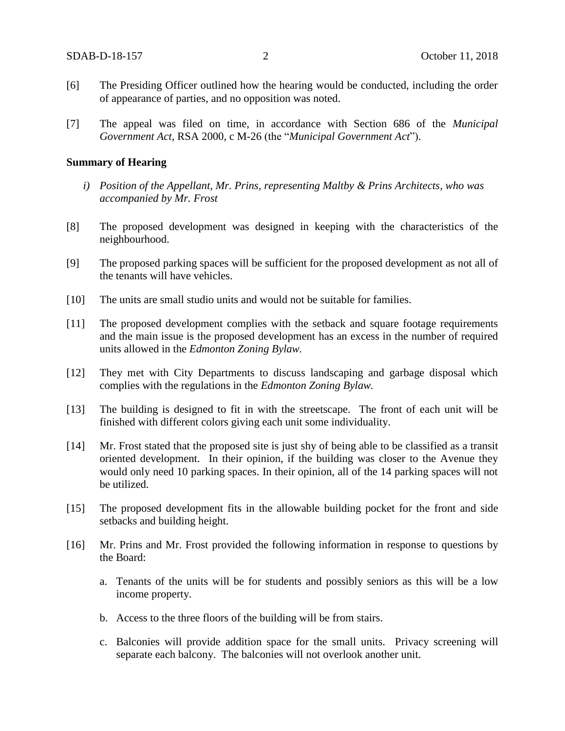- [6] The Presiding Officer outlined how the hearing would be conducted, including the order of appearance of parties, and no opposition was noted.
- [7] The appeal was filed on time, in accordance with Section 686 of the *Municipal Government Act*, RSA 2000, c M-26 (the "*Municipal Government Act*").

#### **Summary of Hearing**

- *i) Position of the Appellant, Mr. Prins, representing Maltby & Prins Architects, who was accompanied by Mr. Frost*
- [8] The proposed development was designed in keeping with the characteristics of the neighbourhood.
- [9] The proposed parking spaces will be sufficient for the proposed development as not all of the tenants will have vehicles.
- [10] The units are small studio units and would not be suitable for families.
- [11] The proposed development complies with the setback and square footage requirements and the main issue is the proposed development has an excess in the number of required units allowed in the *Edmonton Zoning Bylaw.*
- [12] They met with City Departments to discuss landscaping and garbage disposal which complies with the regulations in the *Edmonton Zoning Bylaw.*
- [13] The building is designed to fit in with the streetscape. The front of each unit will be finished with different colors giving each unit some individuality.
- [14] Mr. Frost stated that the proposed site is just shy of being able to be classified as a transit oriented development. In their opinion, if the building was closer to the Avenue they would only need 10 parking spaces. In their opinion, all of the 14 parking spaces will not be utilized.
- [15] The proposed development fits in the allowable building pocket for the front and side setbacks and building height.
- [16] Mr. Prins and Mr. Frost provided the following information in response to questions by the Board:
	- a. Tenants of the units will be for students and possibly seniors as this will be a low income property.
	- b. Access to the three floors of the building will be from stairs.
	- c. Balconies will provide addition space for the small units. Privacy screening will separate each balcony. The balconies will not overlook another unit.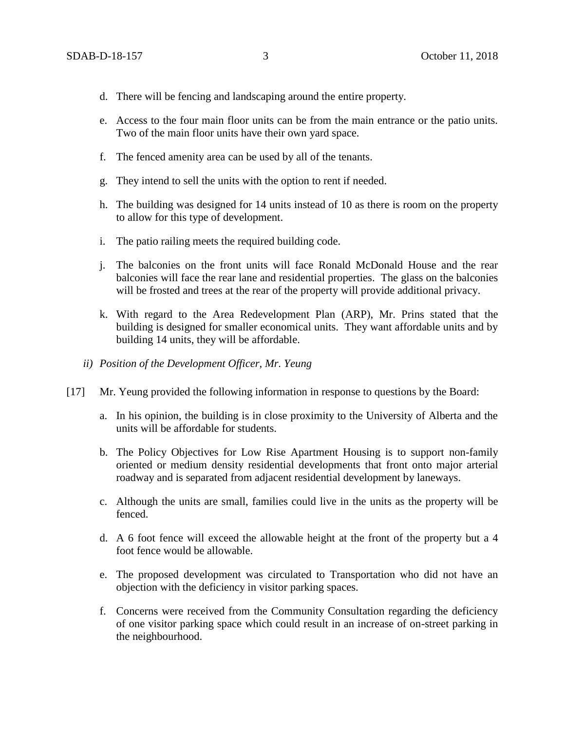- d. There will be fencing and landscaping around the entire property.
- e. Access to the four main floor units can be from the main entrance or the patio units. Two of the main floor units have their own yard space.
- f. The fenced amenity area can be used by all of the tenants.
- g. They intend to sell the units with the option to rent if needed.
- h. The building was designed for 14 units instead of 10 as there is room on the property to allow for this type of development.
- i. The patio railing meets the required building code.
- j. The balconies on the front units will face Ronald McDonald House and the rear balconies will face the rear lane and residential properties. The glass on the balconies will be frosted and trees at the rear of the property will provide additional privacy.
- k. With regard to the Area Redevelopment Plan (ARP), Mr. Prins stated that the building is designed for smaller economical units. They want affordable units and by building 14 units, they will be affordable.
- *ii) Position of the Development Officer, Mr. Yeung*
- [17] Mr. Yeung provided the following information in response to questions by the Board:
	- a. In his opinion, the building is in close proximity to the University of Alberta and the units will be affordable for students.
	- b. The Policy Objectives for Low Rise Apartment Housing is to support non-family oriented or medium density residential developments that front onto major arterial roadway and is separated from adjacent residential development by laneways.
	- c. Although the units are small, families could live in the units as the property will be fenced.
	- d. A 6 foot fence will exceed the allowable height at the front of the property but a 4 foot fence would be allowable.
	- e. The proposed development was circulated to Transportation who did not have an objection with the deficiency in visitor parking spaces.
	- f. Concerns were received from the Community Consultation regarding the deficiency of one visitor parking space which could result in an increase of on-street parking in the neighbourhood.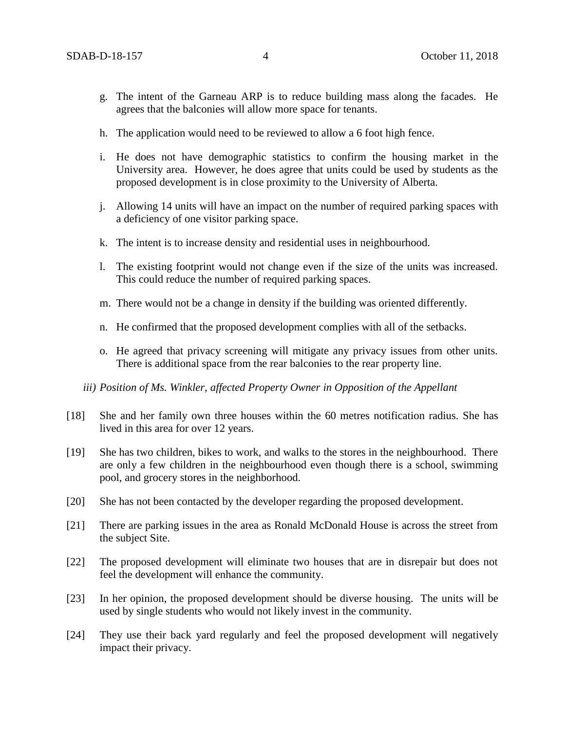- g. The intent of the Garneau ARP is to reduce building mass along the facades. He agrees that the balconies will allow more space for tenants.
- h. The application would need to be reviewed to allow a 6 foot high fence.
- i. He does not have demographic statistics to confirm the housing market in the University area. However, he does agree that units could be used by students as the proposed development is in close proximity to the University of Alberta.
- j. Allowing 14 units will have an impact on the number of required parking spaces with a deficiency of one visitor parking space.
- k. The intent is to increase density and residential uses in neighbourhood.
- l. The existing footprint would not change even if the size of the units was increased. This could reduce the number of required parking spaces.
- m. There would not be a change in density if the building was oriented differently.
- n. He confirmed that the proposed development complies with all of the setbacks.
- o. He agreed that privacy screening will mitigate any privacy issues from other units. There is additional space from the rear balconies to the rear property line.
- *iii) Position of Ms. Winkler, affected Property Owner in Opposition of the Appellant*
- [18] She and her family own three houses within the 60 metres notification radius. She has lived in this area for over 12 years.
- [19] She has two children, bikes to work, and walks to the stores in the neighbourhood. There are only a few children in the neighbourhood even though there is a school, swimming pool, and grocery stores in the neighborhood.
- [20] She has not been contacted by the developer regarding the proposed development.
- [21] There are parking issues in the area as Ronald McDonald House is across the street from the subject Site.
- [22] The proposed development will eliminate two houses that are in disrepair but does not feel the development will enhance the community.
- [23] In her opinion, the proposed development should be diverse housing. The units will be used by single students who would not likely invest in the community.
- [24] They use their back yard regularly and feel the proposed development will negatively impact their privacy.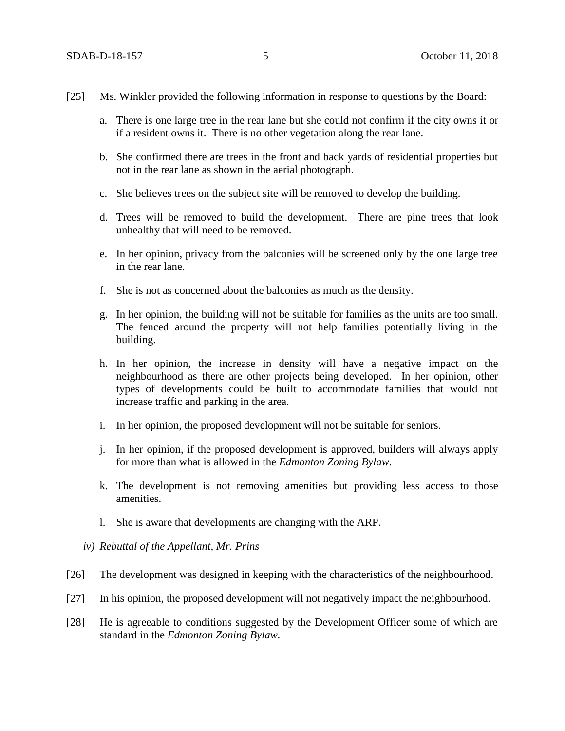- [25] Ms. Winkler provided the following information in response to questions by the Board:
	- a. There is one large tree in the rear lane but she could not confirm if the city owns it or if a resident owns it. There is no other vegetation along the rear lane.
	- b. She confirmed there are trees in the front and back yards of residential properties but not in the rear lane as shown in the aerial photograph.
	- c. She believes trees on the subject site will be removed to develop the building.
	- d. Trees will be removed to build the development. There are pine trees that look unhealthy that will need to be removed.
	- e. In her opinion, privacy from the balconies will be screened only by the one large tree in the rear lane.
	- f. She is not as concerned about the balconies as much as the density.
	- g. In her opinion, the building will not be suitable for families as the units are too small. The fenced around the property will not help families potentially living in the building.
	- h. In her opinion, the increase in density will have a negative impact on the neighbourhood as there are other projects being developed. In her opinion, other types of developments could be built to accommodate families that would not increase traffic and parking in the area.
	- i. In her opinion, the proposed development will not be suitable for seniors.
	- j. In her opinion, if the proposed development is approved, builders will always apply for more than what is allowed in the *Edmonton Zoning Bylaw.*
	- k. The development is not removing amenities but providing less access to those amenities.
	- l. She is aware that developments are changing with the ARP.
	- *iv) Rebuttal of the Appellant, Mr. Prins*
- [26] The development was designed in keeping with the characteristics of the neighbourhood.
- [27] In his opinion, the proposed development will not negatively impact the neighbourhood.
- [28] He is agreeable to conditions suggested by the Development Officer some of which are standard in the *Edmonton Zoning Bylaw.*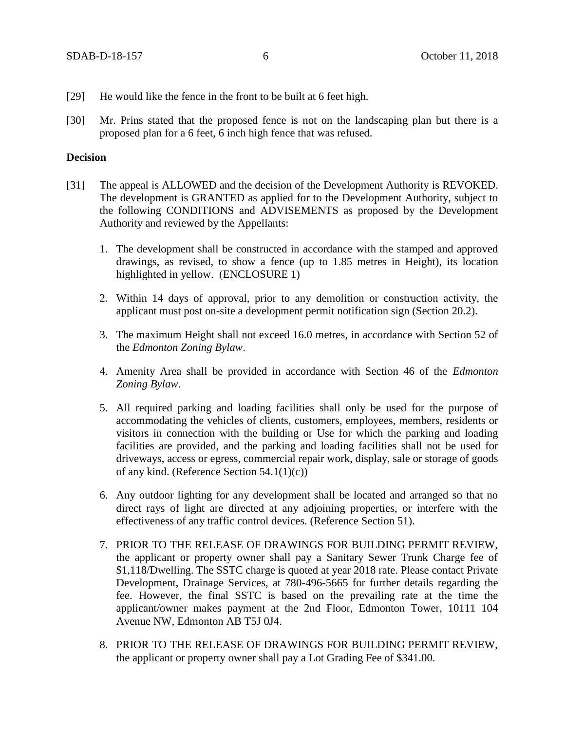- [29] He would like the fence in the front to be built at 6 feet high.
- [30] Mr. Prins stated that the proposed fence is not on the landscaping plan but there is a proposed plan for a 6 feet, 6 inch high fence that was refused.

### **Decision**

- [31] The appeal is ALLOWED and the decision of the Development Authority is REVOKED. The development is GRANTED as applied for to the Development Authority, subject to the following CONDITIONS and ADVISEMENTS as proposed by the Development Authority and reviewed by the Appellants:
	- 1. The development shall be constructed in accordance with the stamped and approved drawings, as revised, to show a fence (up to 1.85 metres in Height), its location highlighted in yellow. (ENCLOSURE 1)
	- 2. Within 14 days of approval, prior to any demolition or construction activity, the applicant must post on-site a development permit notification sign (Section 20.2).
	- 3. The maximum Height shall not exceed 16.0 metres, in accordance with Section 52 of the *Edmonton Zoning Bylaw*.
	- 4. Amenity Area shall be provided in accordance with Section 46 of the *Edmonton Zoning Bylaw*.
	- 5. All required parking and loading facilities shall only be used for the purpose of accommodating the vehicles of clients, customers, employees, members, residents or visitors in connection with the building or Use for which the parking and loading facilities are provided, and the parking and loading facilities shall not be used for driveways, access or egress, commercial repair work, display, sale or storage of goods of any kind. (Reference Section 54.1(1)(c))
	- 6. Any outdoor lighting for any development shall be located and arranged so that no direct rays of light are directed at any adjoining properties, or interfere with the effectiveness of any traffic control devices. (Reference Section 51).
	- 7. PRIOR TO THE RELEASE OF DRAWINGS FOR BUILDING PERMIT REVIEW, the applicant or property owner shall pay a Sanitary Sewer Trunk Charge fee of \$1,118/Dwelling. The SSTC charge is quoted at year 2018 rate. Please contact Private Development, Drainage Services, at 780-496-5665 for further details regarding the fee. However, the final SSTC is based on the prevailing rate at the time the applicant/owner makes payment at the 2nd Floor, Edmonton Tower, 10111 104 Avenue NW, Edmonton AB T5J 0J4.
	- 8. PRIOR TO THE RELEASE OF DRAWINGS FOR BUILDING PERMIT REVIEW, the applicant or property owner shall pay a Lot Grading Fee of \$341.00.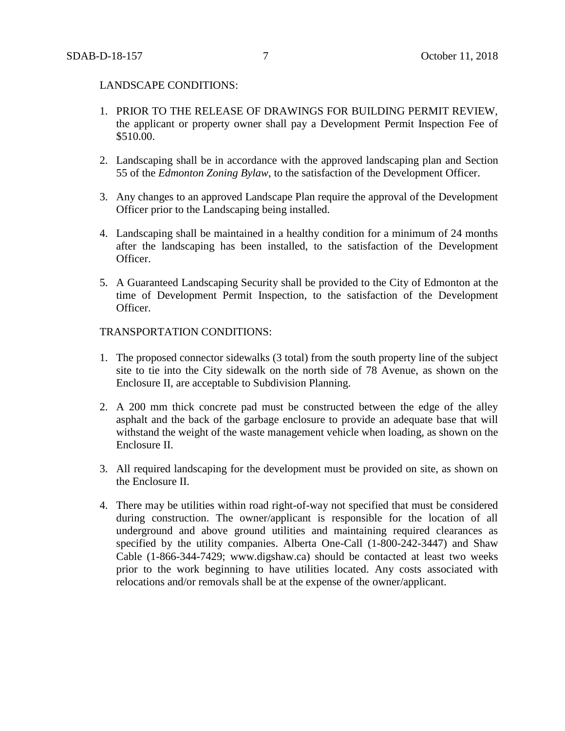#### LANDSCAPE CONDITIONS:

- 1. PRIOR TO THE RELEASE OF DRAWINGS FOR BUILDING PERMIT REVIEW, the applicant or property owner shall pay a Development Permit Inspection Fee of \$510.00.
- 2. Landscaping shall be in accordance with the approved landscaping plan and Section 55 of the *Edmonton Zoning Bylaw*, to the satisfaction of the Development Officer.
- 3. Any changes to an approved Landscape Plan require the approval of the Development Officer prior to the Landscaping being installed.
- 4. Landscaping shall be maintained in a healthy condition for a minimum of 24 months after the landscaping has been installed, to the satisfaction of the Development Officer.
- 5. A Guaranteed Landscaping Security shall be provided to the City of Edmonton at the time of Development Permit Inspection, to the satisfaction of the Development Officer.

## TRANSPORTATION CONDITIONS:

- 1. The proposed connector sidewalks (3 total) from the south property line of the subject site to tie into the City sidewalk on the north side of 78 Avenue, as shown on the Enclosure II, are acceptable to Subdivision Planning.
- 2. A 200 mm thick concrete pad must be constructed between the edge of the alley asphalt and the back of the garbage enclosure to provide an adequate base that will withstand the weight of the waste management vehicle when loading, as shown on the Enclosure II.
- 3. All required landscaping for the development must be provided on site, as shown on the Enclosure II.
- 4. There may be utilities within road right-of-way not specified that must be considered during construction. The owner/applicant is responsible for the location of all underground and above ground utilities and maintaining required clearances as specified by the utility companies. Alberta One-Call (1-800-242-3447) and Shaw Cable (1-866-344-7429; www.digshaw.ca) should be contacted at least two weeks prior to the work beginning to have utilities located. Any costs associated with relocations and/or removals shall be at the expense of the owner/applicant.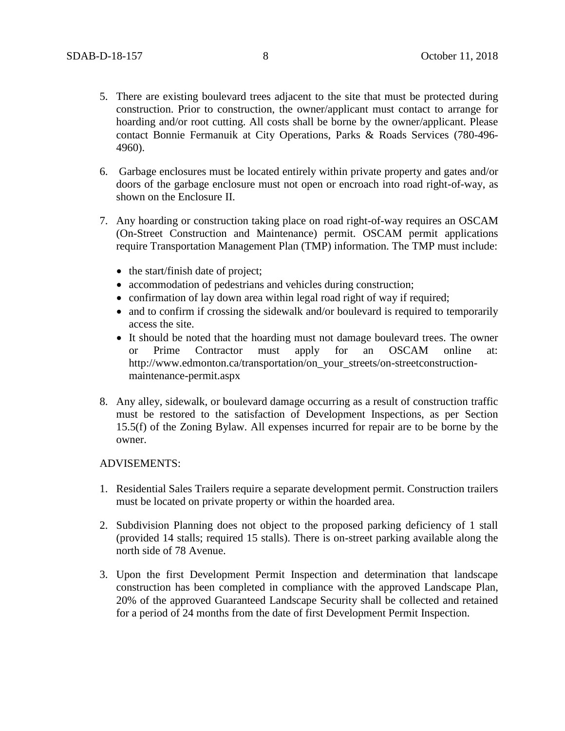- 5. There are existing boulevard trees adjacent to the site that must be protected during construction. Prior to construction, the owner/applicant must contact to arrange for hoarding and/or root cutting. All costs shall be borne by the owner/applicant. Please contact Bonnie Fermanuik at City Operations, Parks & Roads Services (780-496- 4960).
- 6. Garbage enclosures must be located entirely within private property and gates and/or doors of the garbage enclosure must not open or encroach into road right-of-way, as shown on the Enclosure II.
- 7. Any hoarding or construction taking place on road right-of-way requires an OSCAM (On-Street Construction and Maintenance) permit. OSCAM permit applications require Transportation Management Plan (TMP) information. The TMP must include:
	- $\bullet$  the start/finish date of project;
	- accommodation of pedestrians and vehicles during construction;
	- confirmation of lay down area within legal road right of way if required;
	- and to confirm if crossing the sidewalk and/or boulevard is required to temporarily access the site.
	- It should be noted that the hoarding must not damage boulevard trees. The owner or Prime Contractor must apply for an OSCAM online at: http://www.edmonton.ca/transportation/on\_your\_streets/on-streetconstructionmaintenance-permit.aspx
- 8. Any alley, sidewalk, or boulevard damage occurring as a result of construction traffic must be restored to the satisfaction of Development Inspections, as per Section 15.5(f) of the Zoning Bylaw. All expenses incurred for repair are to be borne by the owner.

### ADVISEMENTS:

- 1. Residential Sales Trailers require a separate development permit. Construction trailers must be located on private property or within the hoarded area.
- 2. Subdivision Planning does not object to the proposed parking deficiency of 1 stall (provided 14 stalls; required 15 stalls). There is on-street parking available along the north side of 78 Avenue.
- 3. Upon the first Development Permit Inspection and determination that landscape construction has been completed in compliance with the approved Landscape Plan, 20% of the approved Guaranteed Landscape Security shall be collected and retained for a period of 24 months from the date of first Development Permit Inspection.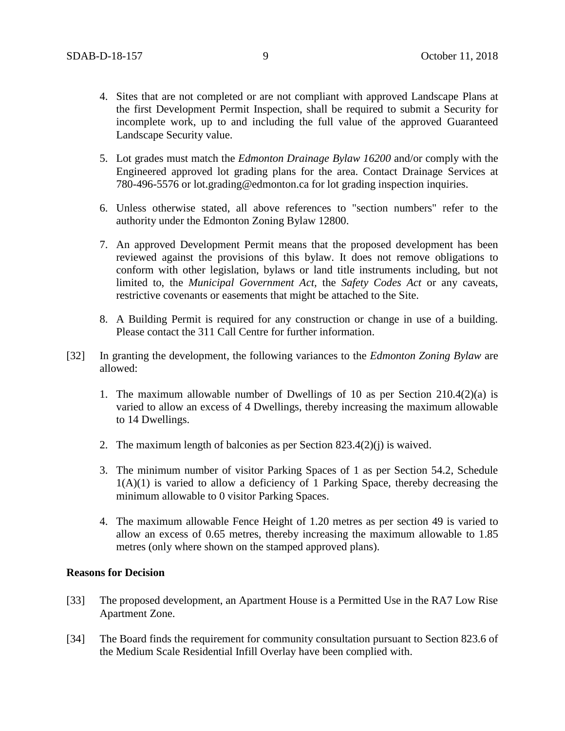- 4. Sites that are not completed or are not compliant with approved Landscape Plans at the first Development Permit Inspection, shall be required to submit a Security for incomplete work, up to and including the full value of the approved Guaranteed Landscape Security value.
- 5. Lot grades must match the *Edmonton Drainage Bylaw 16200* and/or comply with the Engineered approved lot grading plans for the area. Contact Drainage Services at 780-496-5576 or lot.grading@edmonton.ca for lot grading inspection inquiries.
- 6. Unless otherwise stated, all above references to "section numbers" refer to the authority under the Edmonton Zoning Bylaw 12800.
- 7. An approved Development Permit means that the proposed development has been reviewed against the provisions of this bylaw. It does not remove obligations to conform with other legislation, bylaws or land title instruments including, but not limited to, the *Municipal Government Act,* the *Safety Codes Act* or any caveats, restrictive covenants or easements that might be attached to the Site.
- 8. A Building Permit is required for any construction or change in use of a building. Please contact the 311 Call Centre for further information.
- [32] In granting the development, the following variances to the *Edmonton Zoning Bylaw* are allowed:
	- 1. The maximum allowable number of Dwellings of 10 as per Section 210.4(2)(a) is varied to allow an excess of 4 Dwellings, thereby increasing the maximum allowable to 14 Dwellings.
	- 2. The maximum length of balconies as per Section 823.4(2)(j) is waived.
	- 3. The minimum number of visitor Parking Spaces of 1 as per Section 54.2, Schedule  $1(A)(1)$  is varied to allow a deficiency of 1 Parking Space, thereby decreasing the minimum allowable to 0 visitor Parking Spaces.
	- 4. The maximum allowable Fence Height of 1.20 metres as per section 49 is varied to allow an excess of 0.65 metres, thereby increasing the maximum allowable to 1.85 metres (only where shown on the stamped approved plans).

### **Reasons for Decision**

- [33] The proposed development, an Apartment House is a Permitted Use in the RA7 Low Rise Apartment Zone.
- [34] The Board finds the requirement for community consultation pursuant to Section 823.6 of the Medium Scale Residential Infill Overlay have been complied with.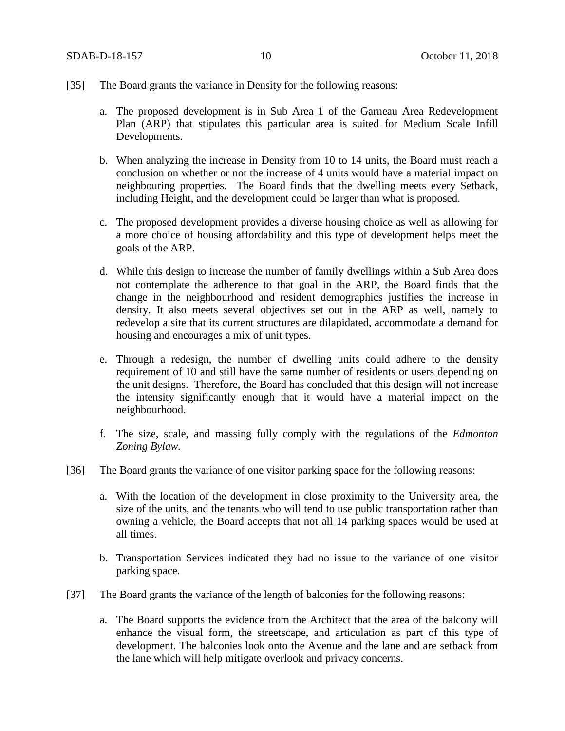- [35] The Board grants the variance in Density for the following reasons:
	- a. The proposed development is in Sub Area 1 of the Garneau Area Redevelopment Plan (ARP) that stipulates this particular area is suited for Medium Scale Infill Developments.
	- b. When analyzing the increase in Density from 10 to 14 units, the Board must reach a conclusion on whether or not the increase of 4 units would have a material impact on neighbouring properties. The Board finds that the dwelling meets every Setback, including Height, and the development could be larger than what is proposed.
	- c. The proposed development provides a diverse housing choice as well as allowing for a more choice of housing affordability and this type of development helps meet the goals of the ARP.
	- d. While this design to increase the number of family dwellings within a Sub Area does not contemplate the adherence to that goal in the ARP, the Board finds that the change in the neighbourhood and resident demographics justifies the increase in density. It also meets several objectives set out in the ARP as well, namely to redevelop a site that its current structures are dilapidated, accommodate a demand for housing and encourages a mix of unit types.
	- e. Through a redesign, the number of dwelling units could adhere to the density requirement of 10 and still have the same number of residents or users depending on the unit designs. Therefore, the Board has concluded that this design will not increase the intensity significantly enough that it would have a material impact on the neighbourhood.
	- f. The size, scale, and massing fully comply with the regulations of the *Edmonton Zoning Bylaw.*
- [36] The Board grants the variance of one visitor parking space for the following reasons:
	- a. With the location of the development in close proximity to the University area, the size of the units, and the tenants who will tend to use public transportation rather than owning a vehicle, the Board accepts that not all 14 parking spaces would be used at all times.
	- b. Transportation Services indicated they had no issue to the variance of one visitor parking space.
- [37] The Board grants the variance of the length of balconies for the following reasons:
	- a. The Board supports the evidence from the Architect that the area of the balcony will enhance the visual form, the streetscape, and articulation as part of this type of development. The balconies look onto the Avenue and the lane and are setback from the lane which will help mitigate overlook and privacy concerns.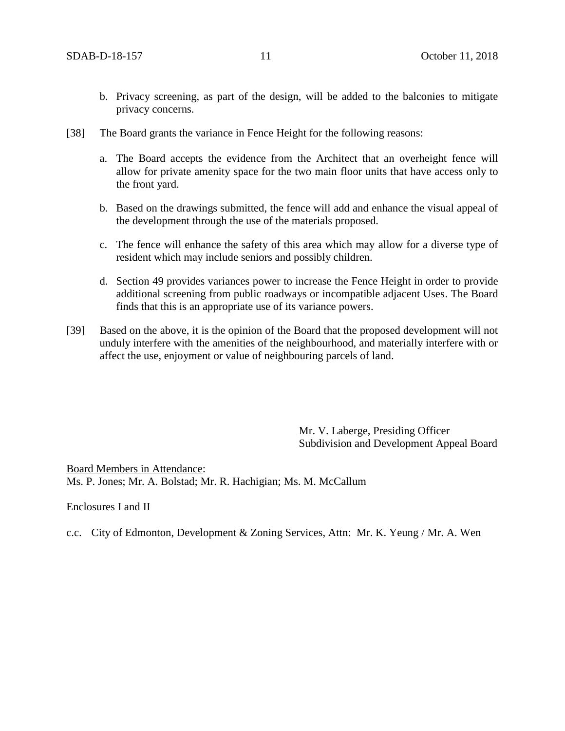- b. Privacy screening, as part of the design, will be added to the balconies to mitigate privacy concerns.
- [38] The Board grants the variance in Fence Height for the following reasons:
	- a. The Board accepts the evidence from the Architect that an overheight fence will allow for private amenity space for the two main floor units that have access only to the front yard.
	- b. Based on the drawings submitted, the fence will add and enhance the visual appeal of the development through the use of the materials proposed.
	- c. The fence will enhance the safety of this area which may allow for a diverse type of resident which may include seniors and possibly children.
	- d. Section 49 provides variances power to increase the Fence Height in order to provide additional screening from public roadways or incompatible adjacent Uses. The Board finds that this is an appropriate use of its variance powers.
- [39] Based on the above, it is the opinion of the Board that the proposed development will not unduly interfere with the amenities of the neighbourhood, and materially interfere with or affect the use, enjoyment or value of neighbouring parcels of land.

Mr. V. Laberge, Presiding Officer Subdivision and Development Appeal Board

Board Members in Attendance: Ms. P. Jones; Mr. A. Bolstad; Mr. R. Hachigian; Ms. M. McCallum

Enclosures I and II

c.c. City of Edmonton, Development & Zoning Services, Attn: Mr. K. Yeung / Mr. A. Wen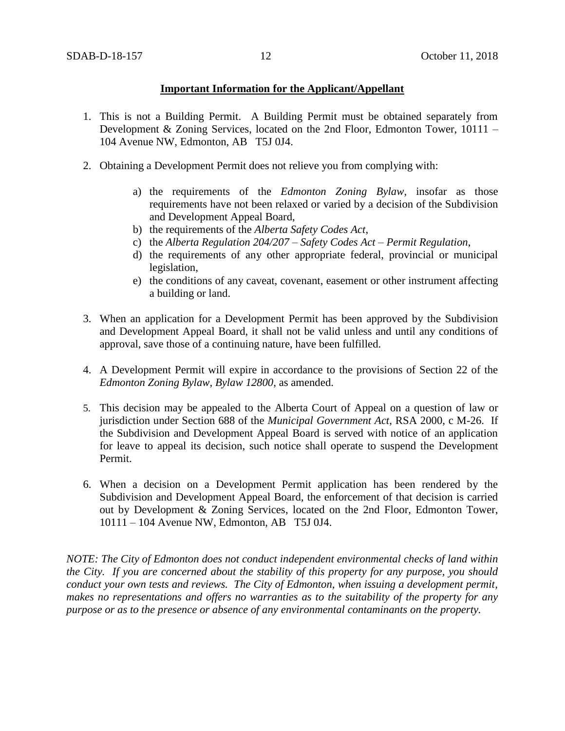## **Important Information for the Applicant/Appellant**

- 1. This is not a Building Permit. A Building Permit must be obtained separately from Development & Zoning Services, located on the 2nd Floor, Edmonton Tower, 10111 – 104 Avenue NW, Edmonton, AB T5J 0J4.
- 2. Obtaining a Development Permit does not relieve you from complying with:
	- a) the requirements of the *Edmonton Zoning Bylaw*, insofar as those requirements have not been relaxed or varied by a decision of the Subdivision and Development Appeal Board,
	- b) the requirements of the *Alberta Safety Codes Act*,
	- c) the *Alberta Regulation 204/207 – Safety Codes Act – Permit Regulation*,
	- d) the requirements of any other appropriate federal, provincial or municipal legislation,
	- e) the conditions of any caveat, covenant, easement or other instrument affecting a building or land.
- 3. When an application for a Development Permit has been approved by the Subdivision and Development Appeal Board, it shall not be valid unless and until any conditions of approval, save those of a continuing nature, have been fulfilled.
- 4. A Development Permit will expire in accordance to the provisions of Section 22 of the *Edmonton Zoning Bylaw, Bylaw 12800*, as amended.
- 5. This decision may be appealed to the Alberta Court of Appeal on a question of law or jurisdiction under Section 688 of the *Municipal Government Act*, RSA 2000, c M-26. If the Subdivision and Development Appeal Board is served with notice of an application for leave to appeal its decision, such notice shall operate to suspend the Development Permit.
- 6. When a decision on a Development Permit application has been rendered by the Subdivision and Development Appeal Board, the enforcement of that decision is carried out by Development & Zoning Services, located on the 2nd Floor, Edmonton Tower, 10111 – 104 Avenue NW, Edmonton, AB T5J 0J4.

*NOTE: The City of Edmonton does not conduct independent environmental checks of land within the City. If you are concerned about the stability of this property for any purpose, you should conduct your own tests and reviews. The City of Edmonton, when issuing a development permit, makes no representations and offers no warranties as to the suitability of the property for any purpose or as to the presence or absence of any environmental contaminants on the property.*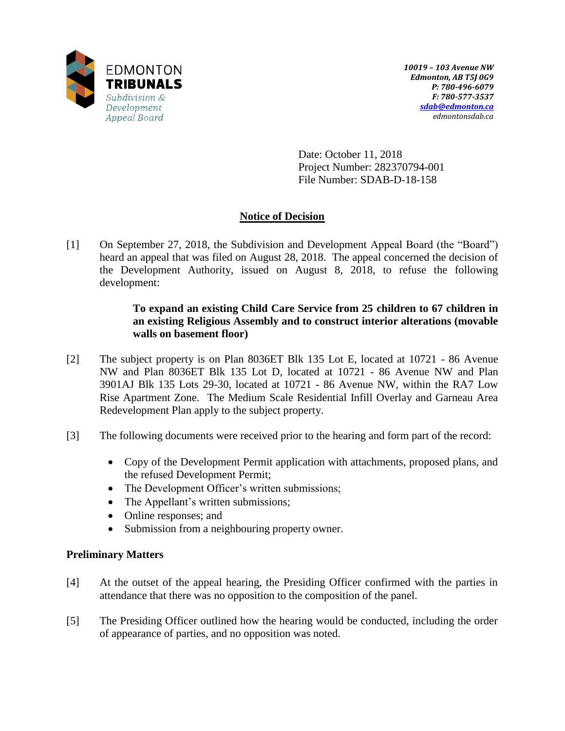

Date: October 11, 2018 Project Number: 282370794-001 File Number: SDAB-D-18-158

# **Notice of Decision**

[1] On September 27, 2018, the Subdivision and Development Appeal Board (the "Board") heard an appeal that was filed on August 28, 2018. The appeal concerned the decision of the Development Authority, issued on August 8, 2018, to refuse the following development:

# **To expand an existing Child Care Service from 25 children to 67 children in an existing Religious Assembly and to construct interior alterations (movable walls on basement floor)**

- [2] The subject property is on Plan 8036ET Blk 135 Lot E, located at 10721 86 Avenue NW and Plan 8036ET Blk 135 Lot D, located at 10721 - 86 Avenue NW and Plan 3901AJ Blk 135 Lots 29-30, located at 10721 - 86 Avenue NW, within the RA7 Low Rise Apartment Zone. The Medium Scale Residential Infill Overlay and Garneau Area Redevelopment Plan apply to the subject property.
- [3] The following documents were received prior to the hearing and form part of the record:
	- Copy of the Development Permit application with attachments, proposed plans, and the refused Development Permit;
	- The Development Officer's written submissions;
	- The Appellant's written submissions;
	- Online responses; and
	- Submission from a neighbouring property owner.

## **Preliminary Matters**

- [4] At the outset of the appeal hearing, the Presiding Officer confirmed with the parties in attendance that there was no opposition to the composition of the panel.
- [5] The Presiding Officer outlined how the hearing would be conducted, including the order of appearance of parties, and no opposition was noted.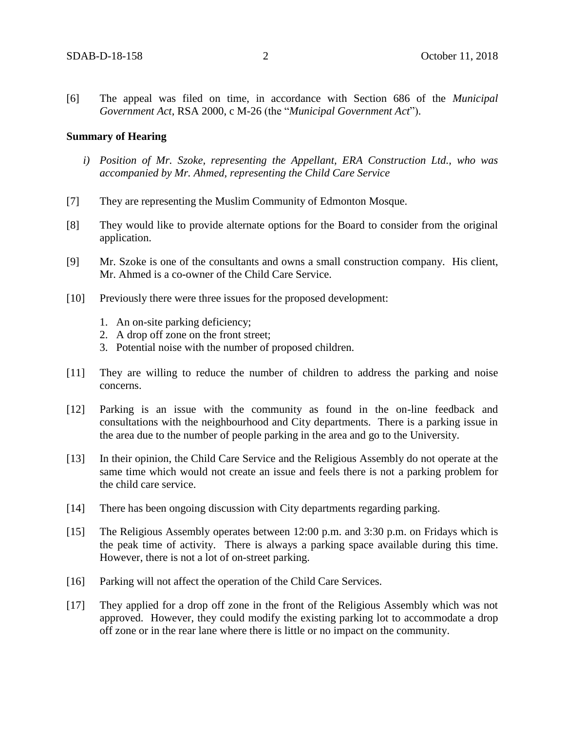[6] The appeal was filed on time, in accordance with Section 686 of the *Municipal Government Act*, RSA 2000, c M-26 (the "*Municipal Government Act*").

#### **Summary of Hearing**

- *i) Position of Mr. Szoke, representing the Appellant, ERA Construction Ltd., who was accompanied by Mr. Ahmed, representing the Child Care Service*
- [7] They are representing the Muslim Community of Edmonton Mosque.
- [8] They would like to provide alternate options for the Board to consider from the original application.
- [9] Mr. Szoke is one of the consultants and owns a small construction company. His client, Mr. Ahmed is a co-owner of the Child Care Service.
- [10] Previously there were three issues for the proposed development:
	- 1. An on-site parking deficiency;
	- 2. A drop off zone on the front street;
	- 3. Potential noise with the number of proposed children.
- [11] They are willing to reduce the number of children to address the parking and noise concerns.
- [12] Parking is an issue with the community as found in the on-line feedback and consultations with the neighbourhood and City departments. There is a parking issue in the area due to the number of people parking in the area and go to the University.
- [13] In their opinion, the Child Care Service and the Religious Assembly do not operate at the same time which would not create an issue and feels there is not a parking problem for the child care service.
- [14] There has been ongoing discussion with City departments regarding parking.
- [15] The Religious Assembly operates between 12:00 p.m. and 3:30 p.m. on Fridays which is the peak time of activity. There is always a parking space available during this time. However, there is not a lot of on-street parking.
- [16] Parking will not affect the operation of the Child Care Services.
- [17] They applied for a drop off zone in the front of the Religious Assembly which was not approved. However, they could modify the existing parking lot to accommodate a drop off zone or in the rear lane where there is little or no impact on the community.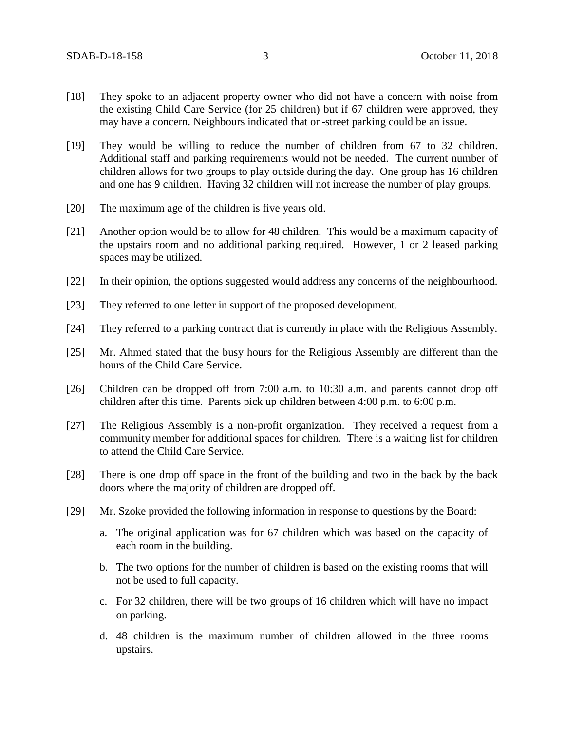- [18] They spoke to an adjacent property owner who did not have a concern with noise from the existing Child Care Service (for 25 children) but if 67 children were approved, they may have a concern. Neighbours indicated that on-street parking could be an issue.
- [19] They would be willing to reduce the number of children from 67 to 32 children. Additional staff and parking requirements would not be needed. The current number of children allows for two groups to play outside during the day. One group has 16 children and one has 9 children. Having 32 children will not increase the number of play groups.
- [20] The maximum age of the children is five years old.
- [21] Another option would be to allow for 48 children. This would be a maximum capacity of the upstairs room and no additional parking required. However, 1 or 2 leased parking spaces may be utilized.
- [22] In their opinion, the options suggested would address any concerns of the neighbourhood.
- [23] They referred to one letter in support of the proposed development.
- [24] They referred to a parking contract that is currently in place with the Religious Assembly.
- [25] Mr. Ahmed stated that the busy hours for the Religious Assembly are different than the hours of the Child Care Service.
- [26] Children can be dropped off from 7:00 a.m. to 10:30 a.m. and parents cannot drop off children after this time. Parents pick up children between 4:00 p.m. to 6:00 p.m.
- [27] The Religious Assembly is a non-profit organization. They received a request from a community member for additional spaces for children. There is a waiting list for children to attend the Child Care Service.
- [28] There is one drop off space in the front of the building and two in the back by the back doors where the majority of children are dropped off.
- [29] Mr. Szoke provided the following information in response to questions by the Board:
	- a. The original application was for 67 children which was based on the capacity of each room in the building.
	- b. The two options for the number of children is based on the existing rooms that will not be used to full capacity.
	- c. For 32 children, there will be two groups of 16 children which will have no impact on parking.
	- d. 48 children is the maximum number of children allowed in the three rooms upstairs.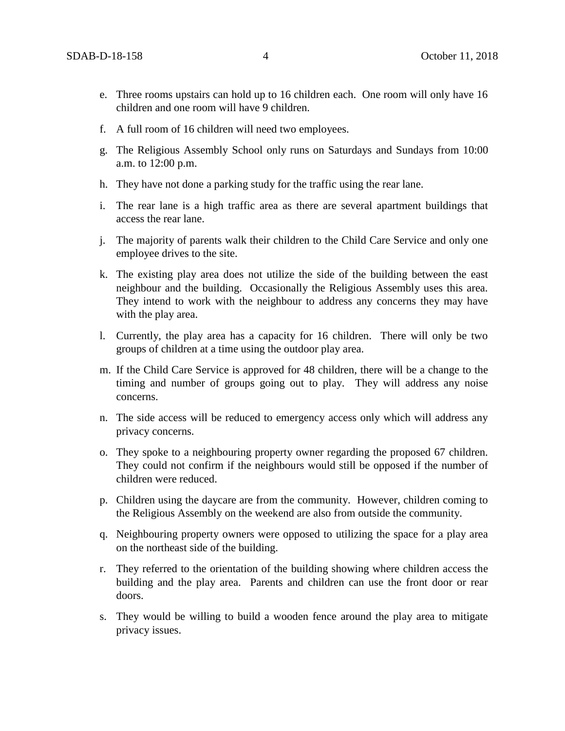- e. Three rooms upstairs can hold up to 16 children each. One room will only have 16 children and one room will have 9 children.
- f. A full room of 16 children will need two employees.
- g. The Religious Assembly School only runs on Saturdays and Sundays from 10:00 a.m. to 12:00 p.m.
- h. They have not done a parking study for the traffic using the rear lane.
- i. The rear lane is a high traffic area as there are several apartment buildings that access the rear lane.
- j. The majority of parents walk their children to the Child Care Service and only one employee drives to the site.
- k. The existing play area does not utilize the side of the building between the east neighbour and the building. Occasionally the Religious Assembly uses this area. They intend to work with the neighbour to address any concerns they may have with the play area.
- l. Currently, the play area has a capacity for 16 children. There will only be two groups of children at a time using the outdoor play area.
- m. If the Child Care Service is approved for 48 children, there will be a change to the timing and number of groups going out to play. They will address any noise concerns.
- n. The side access will be reduced to emergency access only which will address any privacy concerns.
- o. They spoke to a neighbouring property owner regarding the proposed 67 children. They could not confirm if the neighbours would still be opposed if the number of children were reduced.
- p. Children using the daycare are from the community. However, children coming to the Religious Assembly on the weekend are also from outside the community.
- q. Neighbouring property owners were opposed to utilizing the space for a play area on the northeast side of the building.
- r. They referred to the orientation of the building showing where children access the building and the play area. Parents and children can use the front door or rear doors.
- s. They would be willing to build a wooden fence around the play area to mitigate privacy issues.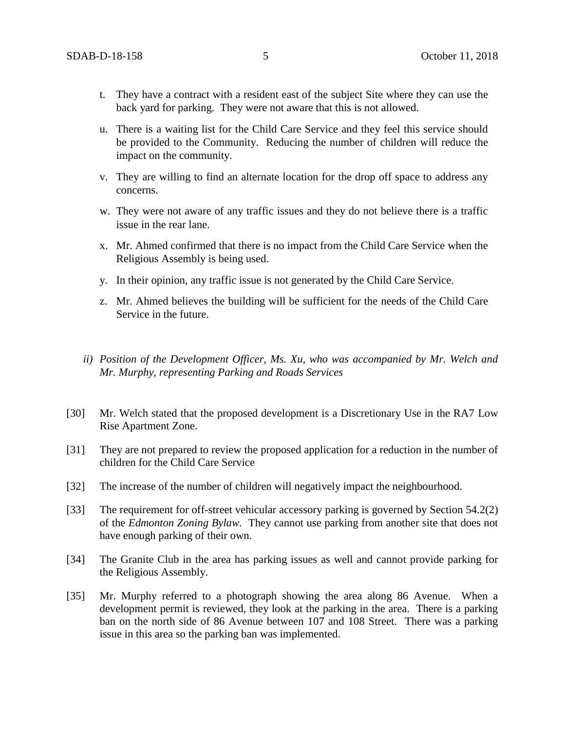- t. They have a contract with a resident east of the subject Site where they can use the back yard for parking. They were not aware that this is not allowed.
- u. There is a waiting list for the Child Care Service and they feel this service should be provided to the Community. Reducing the number of children will reduce the impact on the community.
- v. They are willing to find an alternate location for the drop off space to address any concerns.
- w. They were not aware of any traffic issues and they do not believe there is a traffic issue in the rear lane.
- x. Mr. Ahmed confirmed that there is no impact from the Child Care Service when the Religious Assembly is being used.
- y. In their opinion, any traffic issue is not generated by the Child Care Service.
- z. Mr. Ahmed believes the building will be sufficient for the needs of the Child Care Service in the future.
- *ii) Position of the Development Officer, Ms. Xu, who was accompanied by Mr. Welch and Mr. Murphy, representing Parking and Roads Services*
- [30] Mr. Welch stated that the proposed development is a Discretionary Use in the RA7 Low Rise Apartment Zone.
- [31] They are not prepared to review the proposed application for a reduction in the number of children for the Child Care Service
- [32] The increase of the number of children will negatively impact the neighbourhood.
- [33] The requirement for off-street vehicular accessory parking is governed by Section 54.2(2) of the *Edmonton Zoning Bylaw.* They cannot use parking from another site that does not have enough parking of their own.
- [34] The Granite Club in the area has parking issues as well and cannot provide parking for the Religious Assembly.
- [35] Mr. Murphy referred to a photograph showing the area along 86 Avenue. When a development permit is reviewed, they look at the parking in the area. There is a parking ban on the north side of 86 Avenue between 107 and 108 Street. There was a parking issue in this area so the parking ban was implemented.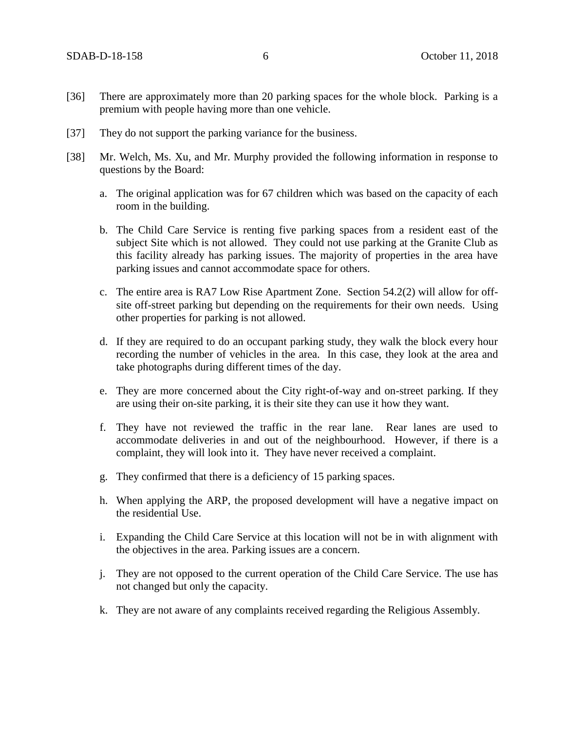- [36] There are approximately more than 20 parking spaces for the whole block. Parking is a premium with people having more than one vehicle.
- [37] They do not support the parking variance for the business.
- [38] Mr. Welch, Ms. Xu, and Mr. Murphy provided the following information in response to questions by the Board:
	- a. The original application was for 67 children which was based on the capacity of each room in the building.
	- b. The Child Care Service is renting five parking spaces from a resident east of the subject Site which is not allowed. They could not use parking at the Granite Club as this facility already has parking issues. The majority of properties in the area have parking issues and cannot accommodate space for others.
	- c. The entire area is RA7 Low Rise Apartment Zone. Section 54.2(2) will allow for offsite off-street parking but depending on the requirements for their own needs. Using other properties for parking is not allowed.
	- d. If they are required to do an occupant parking study, they walk the block every hour recording the number of vehicles in the area. In this case, they look at the area and take photographs during different times of the day.
	- e. They are more concerned about the City right-of-way and on-street parking. If they are using their on-site parking, it is their site they can use it how they want.
	- f. They have not reviewed the traffic in the rear lane. Rear lanes are used to accommodate deliveries in and out of the neighbourhood. However, if there is a complaint, they will look into it. They have never received a complaint.
	- g. They confirmed that there is a deficiency of 15 parking spaces.
	- h. When applying the ARP, the proposed development will have a negative impact on the residential Use.
	- i. Expanding the Child Care Service at this location will not be in with alignment with the objectives in the area. Parking issues are a concern.
	- j. They are not opposed to the current operation of the Child Care Service. The use has not changed but only the capacity.
	- k. They are not aware of any complaints received regarding the Religious Assembly.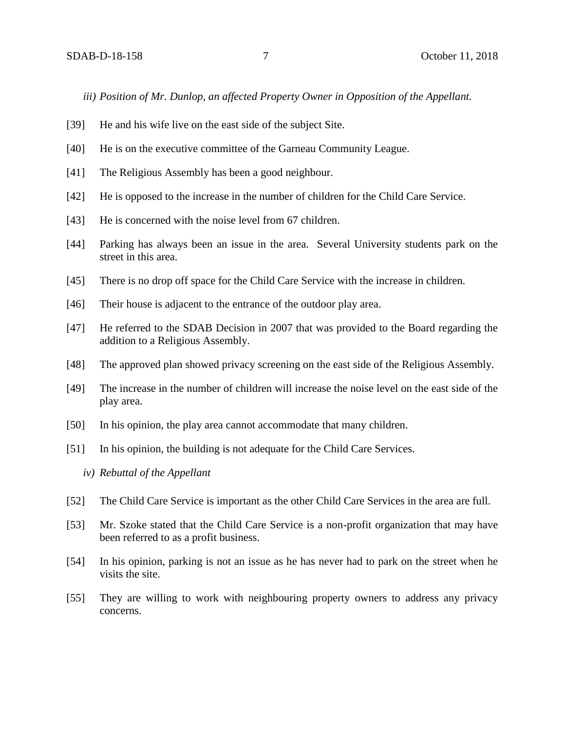*iii) Position of Mr. Dunlop, an affected Property Owner in Opposition of the Appellant.* 

- [39] He and his wife live on the east side of the subject Site.
- [40] He is on the executive committee of the Garneau Community League.
- [41] The Religious Assembly has been a good neighbour.
- [42] He is opposed to the increase in the number of children for the Child Care Service.
- [43] He is concerned with the noise level from 67 children.
- [44] Parking has always been an issue in the area. Several University students park on the street in this area.
- [45] There is no drop off space for the Child Care Service with the increase in children.
- [46] Their house is adjacent to the entrance of the outdoor play area.
- [47] He referred to the SDAB Decision in 2007 that was provided to the Board regarding the addition to a Religious Assembly.
- [48] The approved plan showed privacy screening on the east side of the Religious Assembly.
- [49] The increase in the number of children will increase the noise level on the east side of the play area.
- [50] In his opinion, the play area cannot accommodate that many children.
- [51] In his opinion, the building is not adequate for the Child Care Services.
	- *iv) Rebuttal of the Appellant*
- [52] The Child Care Service is important as the other Child Care Services in the area are full.
- [53] Mr. Szoke stated that the Child Care Service is a non-profit organization that may have been referred to as a profit business.
- [54] In his opinion, parking is not an issue as he has never had to park on the street when he visits the site.
- [55] They are willing to work with neighbouring property owners to address any privacy concerns.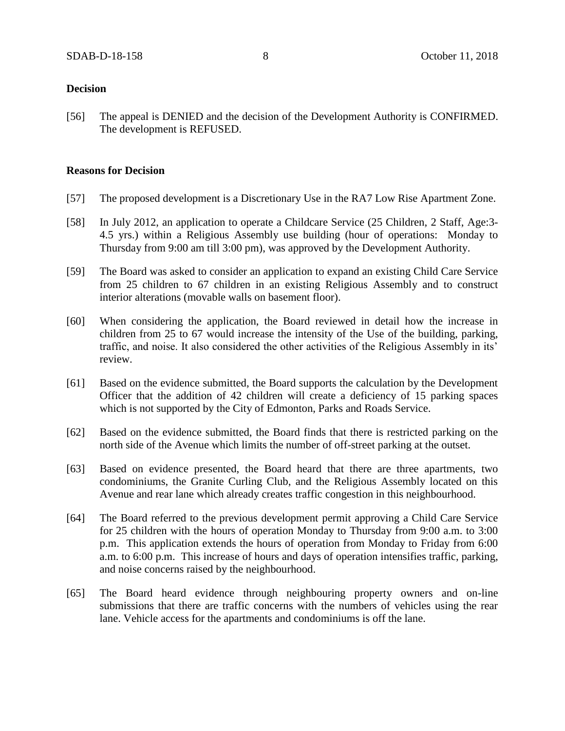### **Decision**

[56] The appeal is DENIED and the decision of the Development Authority is CONFIRMED. The development is REFUSED.

## **Reasons for Decision**

- [57] The proposed development is a Discretionary Use in the RA7 Low Rise Apartment Zone.
- [58] In July 2012, an application to operate a Childcare Service (25 Children, 2 Staff, Age:3- 4.5 yrs.) within a Religious Assembly use building (hour of operations: Monday to Thursday from 9:00 am till 3:00 pm), was approved by the Development Authority.
- [59] The Board was asked to consider an application to expand an existing Child Care Service from 25 children to 67 children in an existing Religious Assembly and to construct interior alterations (movable walls on basement floor).
- [60] When considering the application, the Board reviewed in detail how the increase in children from 25 to 67 would increase the intensity of the Use of the building, parking, traffic, and noise. It also considered the other activities of the Religious Assembly in its' review.
- [61] Based on the evidence submitted, the Board supports the calculation by the Development Officer that the addition of 42 children will create a deficiency of 15 parking spaces which is not supported by the City of Edmonton, Parks and Roads Service.
- [62] Based on the evidence submitted, the Board finds that there is restricted parking on the north side of the Avenue which limits the number of off-street parking at the outset.
- [63] Based on evidence presented, the Board heard that there are three apartments, two condominiums, the Granite Curling Club, and the Religious Assembly located on this Avenue and rear lane which already creates traffic congestion in this neighbourhood.
- [64] The Board referred to the previous development permit approving a Child Care Service for 25 children with the hours of operation Monday to Thursday from 9:00 a.m. to 3:00 p.m. This application extends the hours of operation from Monday to Friday from 6:00 a.m. to 6:00 p.m. This increase of hours and days of operation intensifies traffic, parking, and noise concerns raised by the neighbourhood.
- [65] The Board heard evidence through neighbouring property owners and on-line submissions that there are traffic concerns with the numbers of vehicles using the rear lane. Vehicle access for the apartments and condominiums is off the lane.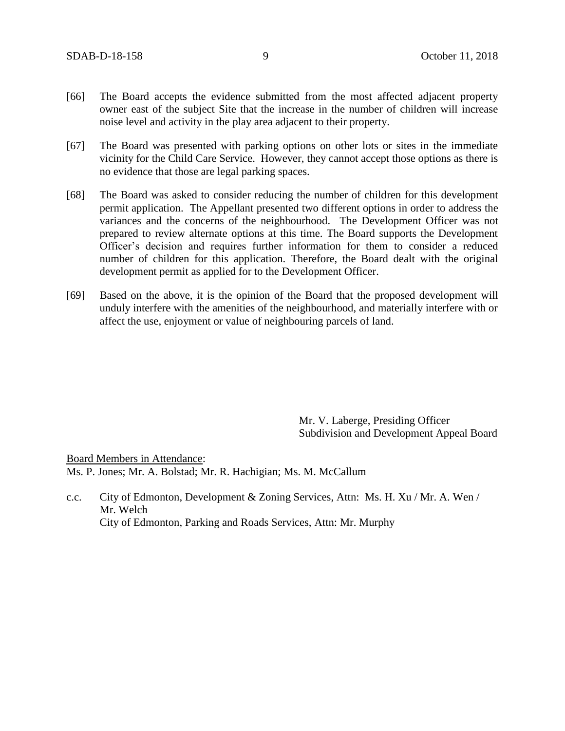- [66] The Board accepts the evidence submitted from the most affected adjacent property owner east of the subject Site that the increase in the number of children will increase noise level and activity in the play area adjacent to their property.
- [67] The Board was presented with parking options on other lots or sites in the immediate vicinity for the Child Care Service. However, they cannot accept those options as there is no evidence that those are legal parking spaces.
- [68] The Board was asked to consider reducing the number of children for this development permit application. The Appellant presented two different options in order to address the variances and the concerns of the neighbourhood. The Development Officer was not prepared to review alternate options at this time. The Board supports the Development Officer's decision and requires further information for them to consider a reduced number of children for this application. Therefore, the Board dealt with the original development permit as applied for to the Development Officer.
- [69] Based on the above, it is the opinion of the Board that the proposed development will unduly interfere with the amenities of the neighbourhood, and materially interfere with or affect the use, enjoyment or value of neighbouring parcels of land.

Mr. V. Laberge, Presiding Officer Subdivision and Development Appeal Board

Board Members in Attendance: Ms. P. Jones; Mr. A. Bolstad; Mr. R. Hachigian; Ms. M. McCallum

c.c. City of Edmonton, Development & Zoning Services, Attn: Ms. H. Xu / Mr. A. Wen / Mr. Welch City of Edmonton, Parking and Roads Services, Attn: Mr. Murphy